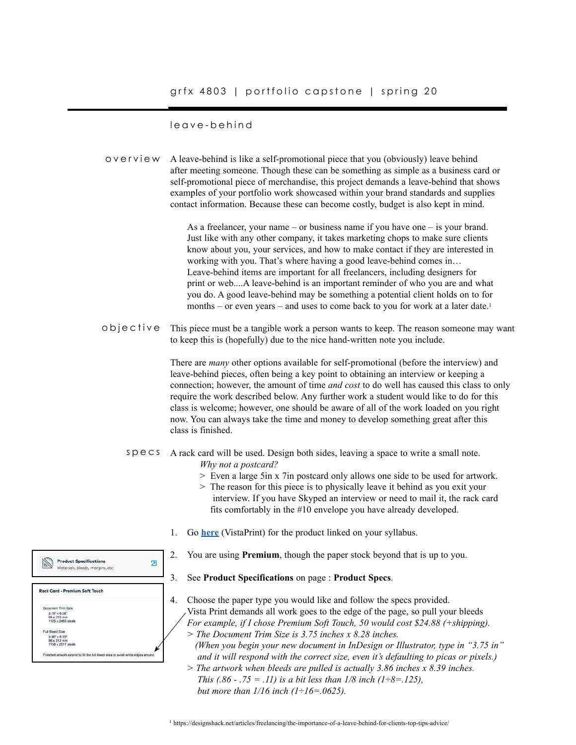# grfx 4803 | portfolio capstone | spring 20

#### leave-behind

 $\mathbb{N}$ 

ant Trim Civ.  $3.75'' \times 8.28''$ <br> $95 \times 210$  mm<br> $1125 \times 2483$  p

3.86" x 8.39"<br>98 x 213 mm<br>1158 x 2517 pi

not by \$8 this full bit

overview A leave-behind is like a self-promotional piece that you (obviously) leave behind after meeting someone. Though these can be something as simple as a business card or self-promotional piece of merchandise, this project demands a leave-behind that shows examples of your portfolio work showcased within your brand standards and supplies contact information. Because these can become costly, budget is also kept in mind. As a freelancer, your name – or business name if you have one – is your brand. Just like with any other company, it takes marketing chops to make sure clients know about you, your services, and how to make contact if they are interested in working with you. That's where having a good leave-behind comes in… Leave-behind items are important for all freelancers, including designers for print or web....A leave-behind is an important reminder of who you are and what you do. A good leave-behind may be something a potential client holds on to for months – or even years – and uses to come back to you for work at a later date.1 objective This piece must be a tangible work a person wants to keep. The reason someone may want to keep this is (hopefully) due to the nice hand-written note you include. There are *many* other options available for self-promotional (before the interview) and leave-behind pieces, often being a key point to obtaining an interview or keeping a connection; however, the amount of time *and cost* to do well has caused this class to only require the work described below. Any further work a student would like to do for this class is welcome; however, one should be aware of all of the work loaded on you right now. You can always take the time and money to develop something great after this class is finished. specs A rack card will be used. Design both sides, leaving a space to write a small note. *Why not a postcard?* > Even a large 5in x 7in postcard only allows one side to be used for artwork. > The reason for this piece is to physically leave it behind as you exit your interview. If you have Skyped an interview or need to mail it, the rack card fits comfortably in the #10 envelope you have already developed. 1. Go **[here](https://www.vistaprint.com/marketing-materials/rack-cards?GP=02%2f29%2f2020+12%3a20%3a12&GPS=5631727039&GNF=1)** (VistaPrint) for the product linked on your syllabus. 2. You are using **Premium**, though the paper stock beyond that is up to you. **Product Specifications**  $\overline{2}$ Materials bleeds margins etc. 3. See **Product Specifications** on page : **Product Specs**. Rack Card - Premium Soft Touch 4. Choose the paper type you would like and follow the specs provided.

Vista Print demands all work goes to the edge of the page, so pull your bleeds *For example, if I chose Premium Soft Touch, 50 would cost \$24.88 (+shipping). > The Document Trim Size is 3.75 inches x 8.28 inches. (When you begin your new document in InDesign or Illustrator, type in "3.75 in" and it will respond with the correct size, even it's defaulting to picas or pixels.) > The artwork when bleeds are pulled is actually 3.86 inches x 8.39 inches. This (.86 - .75 = .11) is a bit less than 1/8 inch (1÷8=.125), but more than 1/16 inch (1÷16=.0625).*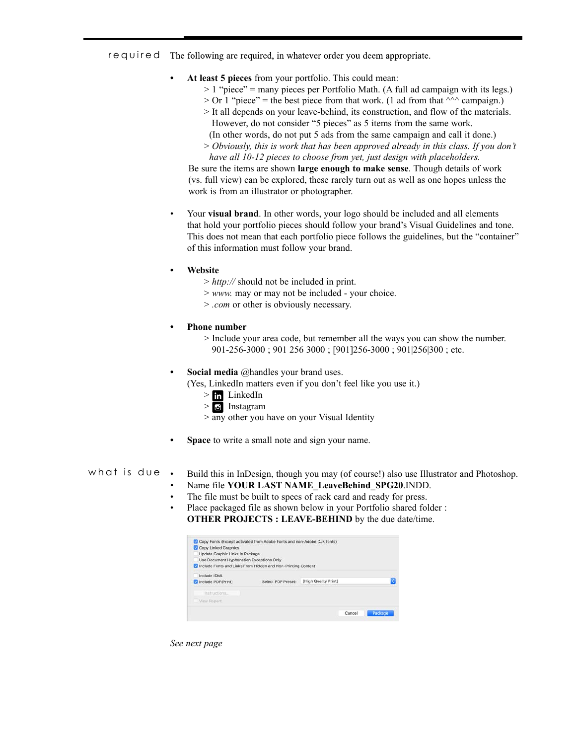required The following are required, in whatever order you deem appropriate.

- **• At least 5 pieces** from your portfolio. This could mean:
	- $> 1$  "piece" = many pieces per Portfolio Math. (A full ad campaign with its legs.)
	- $>$  Or 1 "piece" = the best piece from that work. (1 ad from that  $\wedge\wedge\wedge$  campaign.)
	- > It all depends on your leave-behind, its construction, and flow of the materials. However, do not consider "5 pieces" as 5 items from the same work.
		- (In other words, do not put 5 ads from the same campaign and call it done.)
	- > *Obviously, this is work that has been approved already in this class. If you don't have all 10-12 pieces to choose from yet, just design with placeholders.*

 Be sure the items are shown **large enough to make sense**. Though details of work (vs. full view) can be explored, these rarely turn out as well as one hopes unless the work is from an illustrator or photographer.

- Your **visual brand**. In other words, your logo should be included and all elements that hold your portfolio pieces should follow your brand's Visual Guidelines and tone. This does not mean that each portfolio piece follows the guidelines, but the "container" of this information must follow your brand.
- **• Website**
	- > *http://* should not be included in print.
	- > *www.* may or may not be included your choice.
	- > *.com* or other is obviously necessary.
- **• Phone number**
	- > Include your area code, but remember all the ways you can show the number. 901-256-3000 ; 901 256 3000 ; [901]256-3000 ; 901|256|300 ; etc.
- **• Social media** @handles your brand uses.
	- (Yes, LinkedIn matters even if you don't feel like you use it.)
		- $>$   $\ln$  LinkedIn  $>$   $\bullet$  Instagram
		- $>$  any other you have on your Visual Identity
- **• Space** to write a small note and sign your name.

#### • Build this in InDesign, though you may (of course!) also use Illustrator and Photoshop. what is due

- Name file **YOUR LAST NAME\_LeaveBehind\_SPG20**.INDD.
- The file must be built to specs of rack card and ready for press.
- Place packaged file as shown below in your Portfolio shared folder : **OTHER PROJECTS : LEAVE-BEHIND** by the due date/time.

| Copy Linked Graphics<br>Update Graphic Links In Package<br>Use Document Hyphenation Exceptions Only | Copy Fonts (Except activated from Adobe Fonts and non-Adobe CJK fonts) |                      |   |
|-----------------------------------------------------------------------------------------------------|------------------------------------------------------------------------|----------------------|---|
| Include Fonts and Links From Hidden and Non-Printing Content                                        |                                                                        |                      |   |
| Include IDML<br>Include PDF(Print)                                                                  | Select PDF Preset:                                                     | [High Quality Print] | ٥ |
| Instructions                                                                                        |                                                                        |                      |   |
| View Report                                                                                         |                                                                        |                      |   |

*See next page*